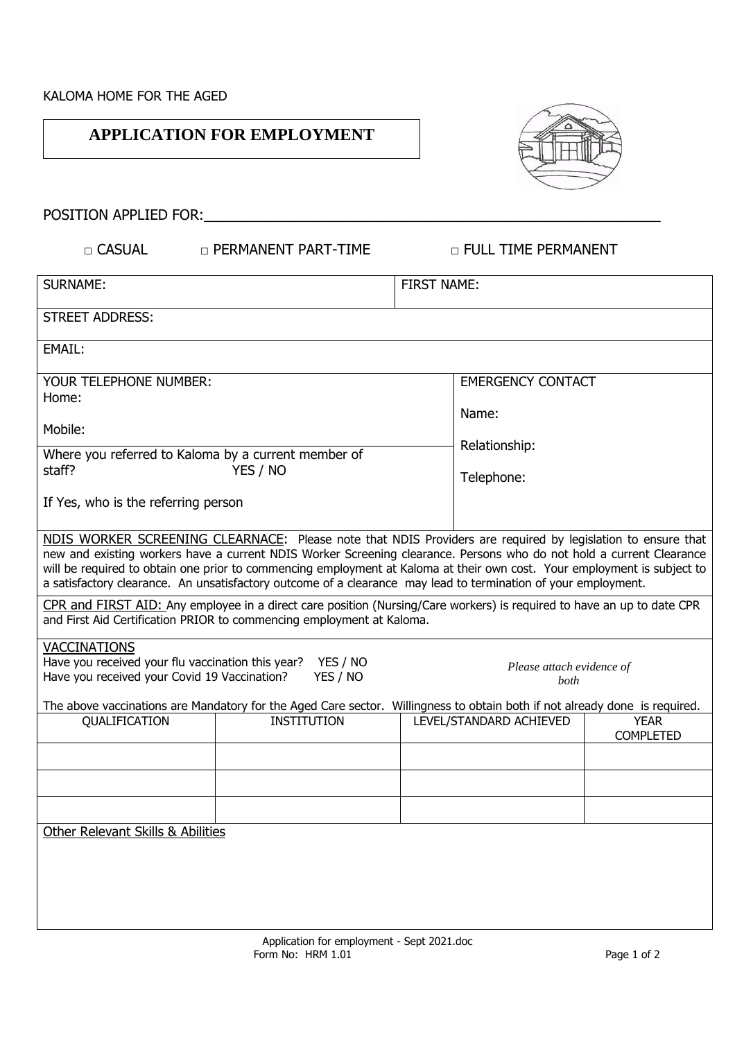## **APPLICATION FOR EMPLOYMENT**



POSITION APPLIED FOR:\_\_\_\_\_\_\_\_\_\_\_\_\_\_\_\_\_\_\_\_\_\_\_\_\_\_\_\_\_\_\_\_\_\_\_\_\_\_\_\_\_\_\_\_\_\_\_\_\_\_\_\_\_\_\_\_\_\_

□ CASUAL □ PERMANENT PART-TIME □ □ FULL TIME PERMANENT

| <b>SURNAME:</b>                                                                                                                                                                                                                                                                                                                                                                                                                                                                   |                                                                                                                                                                                                 | <b>FIRST NAME:</b>     |                          |                                 |  |  |  |  |
|-----------------------------------------------------------------------------------------------------------------------------------------------------------------------------------------------------------------------------------------------------------------------------------------------------------------------------------------------------------------------------------------------------------------------------------------------------------------------------------|-------------------------------------------------------------------------------------------------------------------------------------------------------------------------------------------------|------------------------|--------------------------|---------------------------------|--|--|--|--|
| <b>STREET ADDRESS:</b>                                                                                                                                                                                                                                                                                                                                                                                                                                                            |                                                                                                                                                                                                 |                        |                          |                                 |  |  |  |  |
| <b>EMAIL:</b>                                                                                                                                                                                                                                                                                                                                                                                                                                                                     |                                                                                                                                                                                                 |                        |                          |                                 |  |  |  |  |
| YOUR TELEPHONE NUMBER:<br>Home:                                                                                                                                                                                                                                                                                                                                                                                                                                                   |                                                                                                                                                                                                 |                        | <b>EMERGENCY CONTACT</b> |                                 |  |  |  |  |
| Mobile:                                                                                                                                                                                                                                                                                                                                                                                                                                                                           |                                                                                                                                                                                                 | Name:<br>Relationship: |                          |                                 |  |  |  |  |
| Where you referred to Kaloma by a current member of<br>YES / NO<br>staff?                                                                                                                                                                                                                                                                                                                                                                                                         |                                                                                                                                                                                                 |                        | Telephone:               |                                 |  |  |  |  |
| If Yes, who is the referring person                                                                                                                                                                                                                                                                                                                                                                                                                                               |                                                                                                                                                                                                 |                        |                          |                                 |  |  |  |  |
| NDIS WORKER SCREENING CLEARNACE: Please note that NDIS Providers are required by legislation to ensure that<br>new and existing workers have a current NDIS Worker Screening clearance. Persons who do not hold a current Clearance<br>will be required to obtain one prior to commencing employment at Kaloma at their own cost. Your employment is subject to<br>a satisfactory clearance. An unsatisfactory outcome of a clearance may lead to termination of your employment. |                                                                                                                                                                                                 |                        |                          |                                 |  |  |  |  |
|                                                                                                                                                                                                                                                                                                                                                                                                                                                                                   | CPR and FIRST AID: Any employee in a direct care position (Nursing/Care workers) is required to have an up to date CPR<br>and First Aid Certification PRIOR to commencing employment at Kaloma. |                        |                          |                                 |  |  |  |  |
| <b>VACCINATIONS</b><br>Have you received your flu vaccination this year?<br>YES / NO<br>Please attach evidence of<br>Have you received your Covid 19 Vaccination?<br>YES / NO<br>both                                                                                                                                                                                                                                                                                             |                                                                                                                                                                                                 |                        |                          |                                 |  |  |  |  |
|                                                                                                                                                                                                                                                                                                                                                                                                                                                                                   | The above vaccinations are Mandatory for the Aged Care sector. Willingness to obtain both if not already done is required.                                                                      |                        |                          |                                 |  |  |  |  |
| <b>QUALIFICATION</b>                                                                                                                                                                                                                                                                                                                                                                                                                                                              | <b>INSTITUTION</b>                                                                                                                                                                              |                        | LEVEL/STANDARD ACHIEVED  | <b>YEAR</b><br><b>COMPLETED</b> |  |  |  |  |
|                                                                                                                                                                                                                                                                                                                                                                                                                                                                                   |                                                                                                                                                                                                 |                        |                          |                                 |  |  |  |  |
|                                                                                                                                                                                                                                                                                                                                                                                                                                                                                   |                                                                                                                                                                                                 |                        |                          |                                 |  |  |  |  |
|                                                                                                                                                                                                                                                                                                                                                                                                                                                                                   |                                                                                                                                                                                                 |                        |                          |                                 |  |  |  |  |
| Other Relevant Skills & Abilities                                                                                                                                                                                                                                                                                                                                                                                                                                                 |                                                                                                                                                                                                 |                        |                          |                                 |  |  |  |  |
|                                                                                                                                                                                                                                                                                                                                                                                                                                                                                   |                                                                                                                                                                                                 |                        |                          |                                 |  |  |  |  |
|                                                                                                                                                                                                                                                                                                                                                                                                                                                                                   |                                                                                                                                                                                                 |                        |                          |                                 |  |  |  |  |
|                                                                                                                                                                                                                                                                                                                                                                                                                                                                                   |                                                                                                                                                                                                 |                        |                          |                                 |  |  |  |  |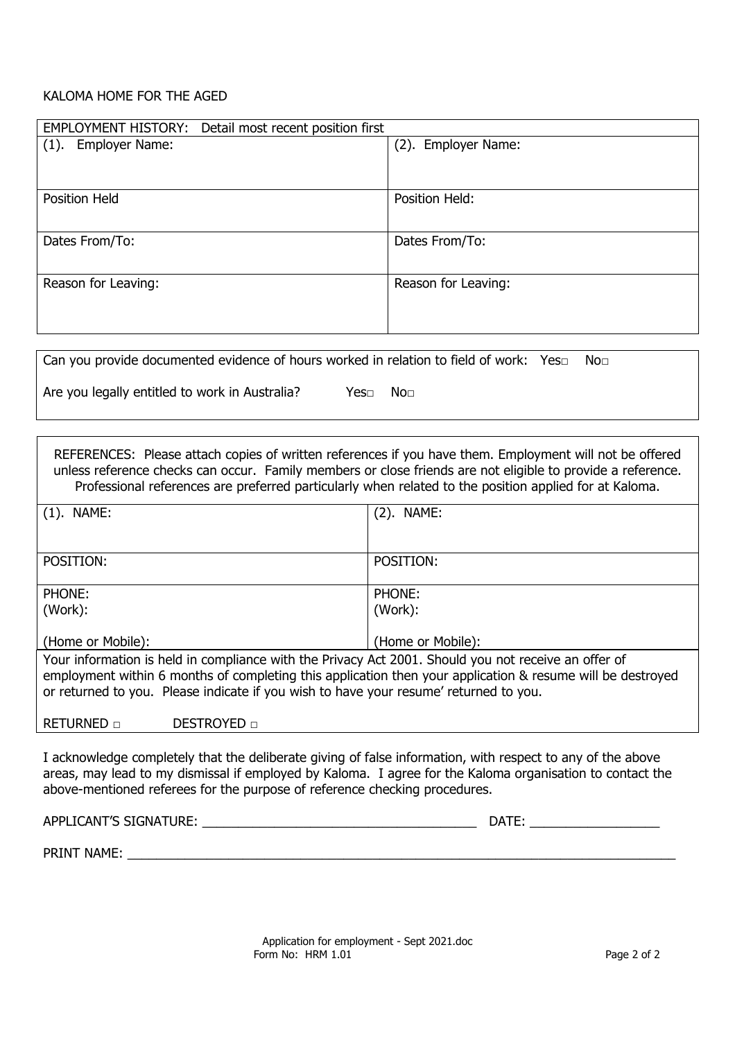## KALOMA HOME FOR THE AGED

| EMPLOYMENT HISTORY: Detail most recent position first |                     |
|-------------------------------------------------------|---------------------|
| Employer Name:<br>(1).                                | (2). Employer Name: |
|                                                       |                     |
|                                                       |                     |
| Position Held                                         | Position Held:      |
|                                                       |                     |
|                                                       |                     |
| Dates From/To:                                        | Dates From/To:      |
|                                                       |                     |
| Reason for Leaving:                                   | Reason for Leaving: |
|                                                       |                     |
|                                                       |                     |
|                                                       |                     |

| Can you provide documented evidence of hours worked in relation to field of work: Yes $\square$ |      |     | No⊓ |
|-------------------------------------------------------------------------------------------------|------|-----|-----|
| Are you legally entitled to work in Australia?                                                  | Yes⊓ | No⊓ |     |

REFERENCES: Please attach copies of written references if you have them. Employment will not be offered unless reference checks can occur. Family members or close friends are not eligible to provide a reference. Professional references are preferred particularly when related to the position applied for at Kaloma.

| $(1)$ . NAME:                                                                                              | $(2)$ . NAME: |  |  |  |  |  |
|------------------------------------------------------------------------------------------------------------|---------------|--|--|--|--|--|
|                                                                                                            |               |  |  |  |  |  |
|                                                                                                            |               |  |  |  |  |  |
| POSITION:                                                                                                  | POSITION:     |  |  |  |  |  |
|                                                                                                            |               |  |  |  |  |  |
| PHONE:                                                                                                     | PHONE:        |  |  |  |  |  |
| (Work):                                                                                                    | (Work):       |  |  |  |  |  |
|                                                                                                            |               |  |  |  |  |  |
| (Home or Mobile):<br>(Home or Mobile):                                                                     |               |  |  |  |  |  |
| Your information is held in compliance with the Privacy Act 2001. Should you not receive an offer of       |               |  |  |  |  |  |
| employment within 6 months of completing this application then your application & resume will be destroyed |               |  |  |  |  |  |
| or returned to you. Please indicate if you wish to have your resume' returned to you.                      |               |  |  |  |  |  |

RETURNED □ DESTROYED □

I acknowledge completely that the deliberate giving of false information, with respect to any of the above areas, may lead to my dismissal if employed by Kaloma. I agree for the Kaloma organisation to contact the above-mentioned referees for the purpose of reference checking procedures.

APPLICANT'S SIGNATURE: \_\_\_\_\_\_\_\_\_\_\_\_\_\_\_\_\_\_\_\_\_\_\_\_\_\_\_\_\_\_\_\_\_\_\_\_\_\_ DATE: \_\_\_\_\_\_\_\_\_\_\_\_\_\_\_\_\_\_

PRINT NAME: